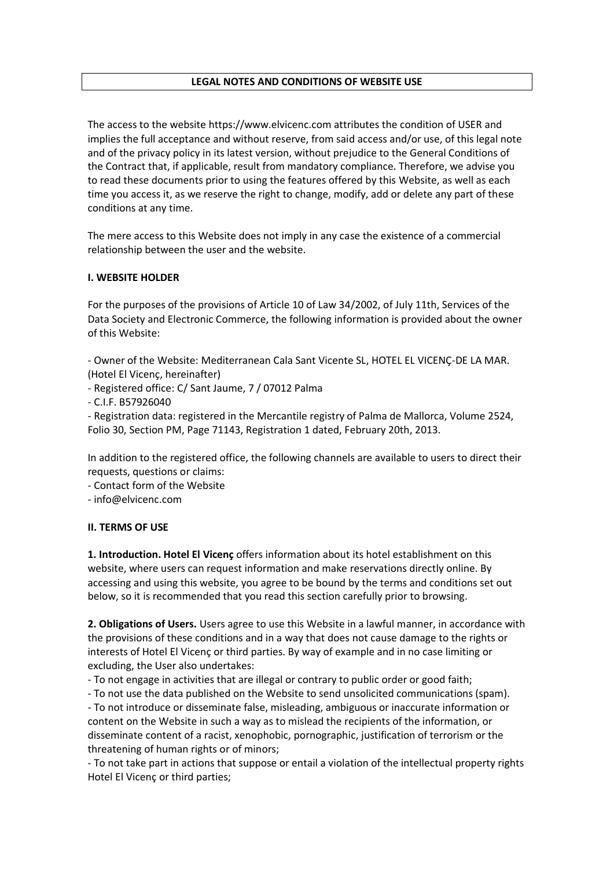## **LEGAL NOTES AND CONDITIONS OF WEBSITE USE**

The access to the website https://www.elvicenc.com attributes the condition of USER and implies the full acceptance and without reserve, from said access and/or use, of this legal note and of the privacy policy in its latest version, without prejudice to the General Conditions of the Contract that, if applicable, result from mandatory compliance. Therefore, we advise you to read these documents prior to using the features offered by this Website, as well as each time you access it, as we reserve the right to change, modify, add or delete any part of these conditions at any time.

The mere access to this Website does not imply in any case the existence of a commercial relationship between the user and the website.

## **I. WEBSITE HOLDER**

For the purposes of the provisions of Article 10 of Law 34/2002, of July 11th, Services of the Data Society and Electronic Commerce, the following information is provided about the owner of this Website:

- Owner of the Website: Mediterranean Cala Sant Vicente SL, HOTEL EL VICENÇ-DE LA MAR. (Hotel El Vicenç, hereinafter)

- Registered office: C/ Sant Jaume, 7 / 07012 Palma

- C.I.F. B57926040

- Registration data: registered in the Mercantile registry of Palma de Mallorca, Volume 2524, Folio 30, Section PM, Page 71143, Registration 1 dated, February 20th, 2013.

In addition to the registered office, the following channels are available to users to direct their requests, questions or claims:

- Contact form of the Website

- info@elvicenc.com

## **II. TERMS OF USE**

**1. Introduction. Hotel El Vicenç** offers information about its hotel establishment on this website, where users can request information and make reservations directly online. By accessing and using this website, you agree to be bound by the terms and conditions set out below, so it is recommended that you read this section carefully prior to browsing.

**2. Obligations of Users.** Users agree to use this Website in a lawful manner, in accordance with the provisions of these conditions and in a way that does not cause damage to the rights or interests of Hotel El Vicenç or third parties. By way of example and in no case limiting or excluding, the User also undertakes:

- To not engage in activities that are illegal or contrary to public order or good faith;

- To not use the data published on the Website to send unsolicited communications (spam).

- To not introduce or disseminate false, misleading, ambiguous or inaccurate information or content on the Website in such a way as to mislead the recipients of the information, or disseminate content of a racist, xenophobic, pornographic, justification of terrorism or the threatening of human rights or of minors;

- To not take part in actions that suppose or entail a violation of the intellectual property rights Hotel El Vicenç or third parties;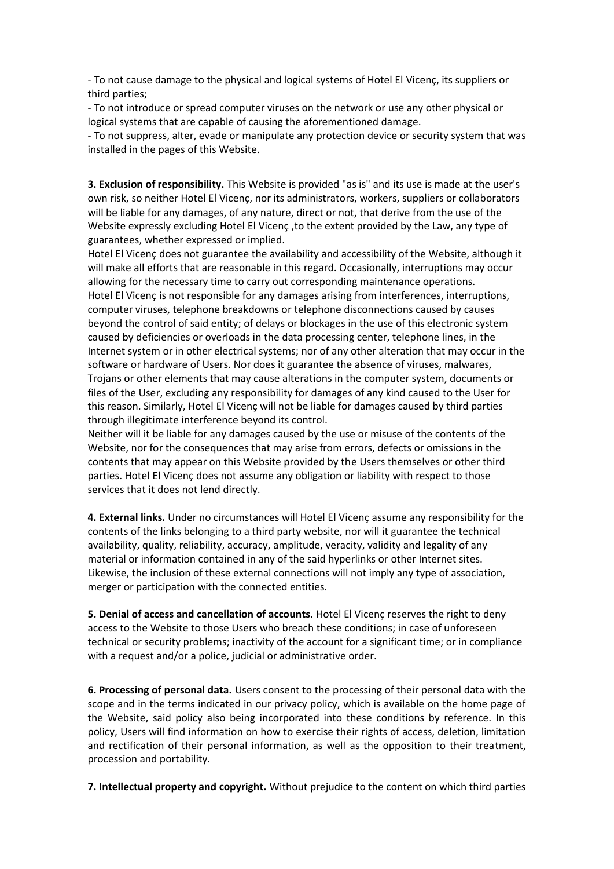- To not cause damage to the physical and logical systems of Hotel El Vicenç, its suppliers or third parties;

- To not introduce or spread computer viruses on the network or use any other physical or logical systems that are capable of causing the aforementioned damage.

- To not suppress, alter, evade or manipulate any protection device or security system that was installed in the pages of this Website.

**3. Exclusion of responsibility.** This Website is provided "as is" and its use is made at the user's own risk, so neither Hotel El Vicenç, nor its administrators, workers, suppliers or collaborators will be liable for any damages, of any nature, direct or not, that derive from the use of the Website expressly excluding Hotel El Vicenç ,to the extent provided by the Law, any type of guarantees, whether expressed or implied.

Hotel El Vicenç does not guarantee the availability and accessibility of the Website, although it will make all efforts that are reasonable in this regard. Occasionally, interruptions may occur allowing for the necessary time to carry out corresponding maintenance operations. Hotel El Vicenç is not responsible for any damages arising from interferences, interruptions, computer viruses, telephone breakdowns or telephone disconnections caused by causes beyond the control of said entity; of delays or blockages in the use of this electronic system caused by deficiencies or overloads in the data processing center, telephone lines, in the Internet system or in other electrical systems; nor of any other alteration that may occur in the software or hardware of Users. Nor does it guarantee the absence of viruses, malwares, Trojans or other elements that may cause alterations in the computer system, documents or files of the User, excluding any responsibility for damages of any kind caused to the User for this reason. Similarly, Hotel El Vicenç will not be liable for damages caused by third parties through illegitimate interference beyond its control.

Neither will it be liable for any damages caused by the use or misuse of the contents of the Website, nor for the consequences that may arise from errors, defects or omissions in the contents that may appear on this Website provided by the Users themselves or other third parties. Hotel El Vicenç does not assume any obligation or liability with respect to those services that it does not lend directly.

**4. External links.** Under no circumstances will Hotel El Vicenç assume any responsibility for the contents of the links belonging to a third party website, nor will it guarantee the technical availability, quality, reliability, accuracy, amplitude, veracity, validity and legality of any material or information contained in any of the said hyperlinks or other Internet sites. Likewise, the inclusion of these external connections will not imply any type of association, merger or participation with the connected entities.

**5. Denial of access and cancellation of accounts.** Hotel El Vicenç reserves the right to deny access to the Website to those Users who breach these conditions; in case of unforeseen technical or security problems; inactivity of the account for a significant time; or in compliance with a request and/or a police, judicial or administrative order.

**6. Processing of personal data.** Users consent to the processing of their personal data with the scope and in the terms indicated in our privacy policy, which is available on the home page of the Website, said policy also being incorporated into these conditions by reference. In this policy, Users will find information on how to exercise their rights of access, deletion, limitation and rectification of their personal information, as well as the opposition to their treatment, procession and portability.

**7. Intellectual property and copyright.** Without prejudice to the content on which third parties